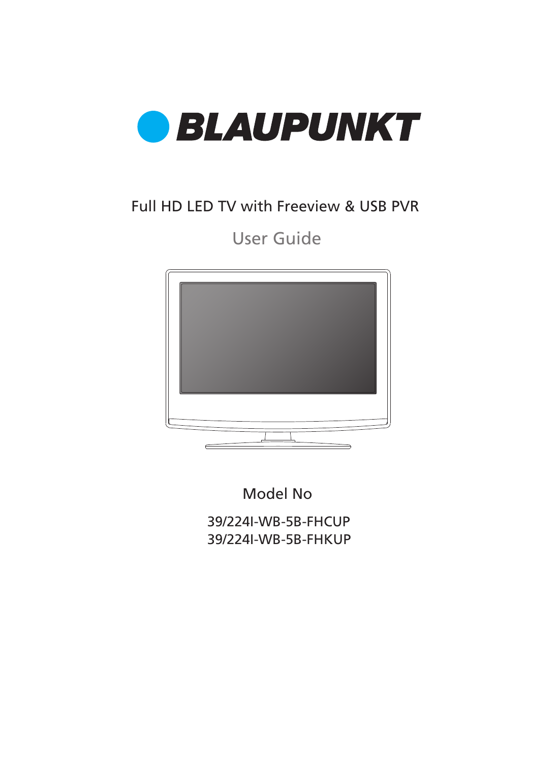

### Full HD LED TV with Freeview & USB PVR

### User Guide



Model No

39/224I-WB-5B-FHCUP 39/224I-WB-5B-FHKUP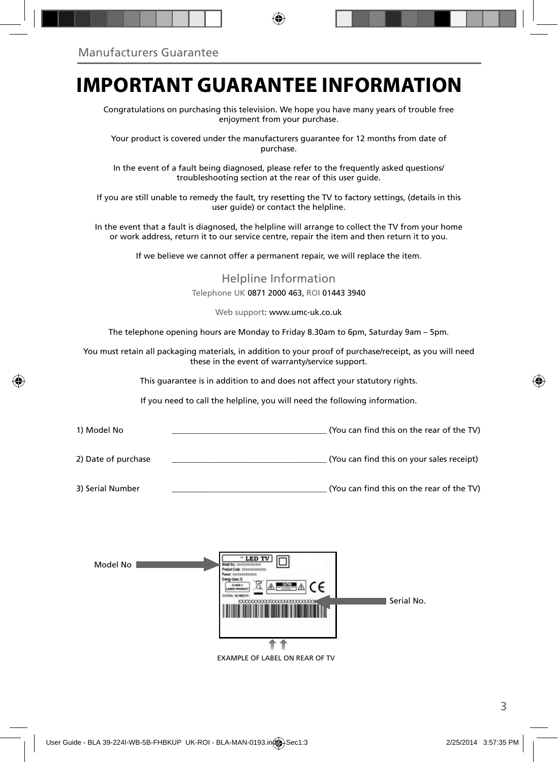### **IMPORTANT GUARANTEE INFORMATION**

Congratulations on purchasing this television. We hope you have many years of trouble free enjoyment from your purchase.

Your product is covered under the manufacturers guarantee for 12 months from date of purchase.

In the event of a fault being diagnosed, please refer to the frequently asked questions/ troubleshooting section at the rear of this user guide.

If you are still unable to remedy the fault, try resetting the TV to factory settings, (details in this user guide) or contact the helpline.

In the event that a fault is diagnosed, the helpline will arrange to collect the TV from your home or work address, return it to our service centre, repair the item and then return it to you.

If we believe we cannot offer a permanent repair, we will replace the item.

Helpline Information Telephone UK 0871 2000 463, ROI 01443 3940

Web support: www.umc-uk.co.uk

The telephone opening hours are Monday to Friday 8.30am to 6pm, Saturday 9am – 5pm.

You must retain all packaging materials, in addition to your proof of purchase/receipt, as you will need these in the event of warranty/service support.

This guarantee is in addition to and does not affect your statutory rights.

If you need to call the helpline, you will need the following information.

- 1) Model No \_\_\_\_\_\_\_\_\_\_\_\_\_\_\_\_\_\_\_\_\_\_\_\_\_\_\_\_\_\_\_\_\_\_\_\_\_\_ (You can fi nd this on the rear of the TV) 2) Date of purchase \_\_\_\_\_\_\_\_\_\_\_\_\_\_\_\_\_\_\_\_\_\_\_\_\_\_\_\_\_\_\_\_\_\_\_\_\_\_ (You can fi nd this on your sales receipt)
- 3) Serial Number \_\_\_\_\_\_\_\_\_\_\_\_\_\_\_\_\_\_\_\_\_\_\_\_\_\_\_\_\_\_\_\_\_\_\_\_\_\_ (You can fi nd this on the rear of the TV)

| Model No | " LED TV<br>Model No.: 30000000000000<br>Product Code: XXXXXXXXXXXXXX<br>Power 10000000000000<br>Energy class: X<br>$A = A$<br>٢۴<br><b>CLASS 1</b><br>л. э.<br>LASER PRODUCT<br>SERIAL NUMBER | Serial No. |
|----------|------------------------------------------------------------------------------------------------------------------------------------------------------------------------------------------------|------------|
|          |                                                                                                                                                                                                |            |

EXAMPLE OF LABEL ON REAR OF TV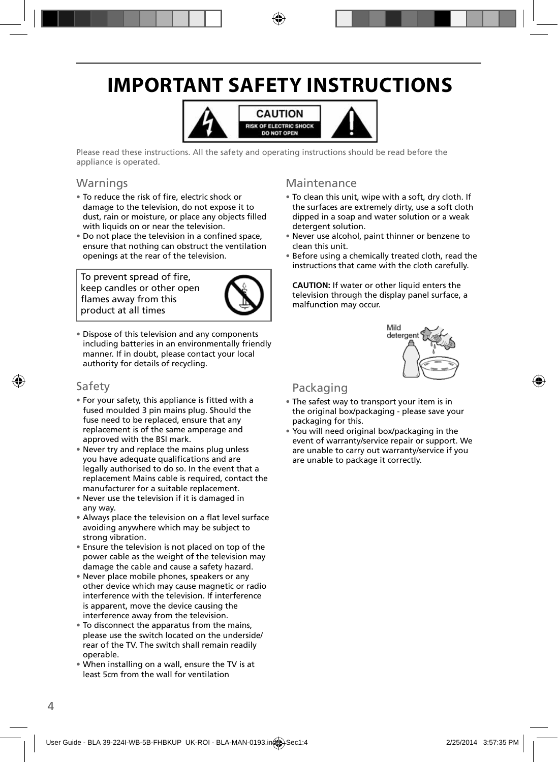## **IMPORTANT SAFETY INSTRUCTIONS**



Please read these instructions. All the safety and operating instructions should be read before the appliance is operated.

#### **Warnings**

- To reduce the risk of fire, electric shock or damage to the television, do not expose it to dust, rain or moisture, or place any objects filled with liquids on or near the television.
- Do not place the television in a confined space, ensure that nothing can obstruct the ventilation openings at the rear of the television.

To prevent spread of fire, keep candles or other open flames away from this product at all times



• Dispose of this television and any components including batteries in an environmentally friendly manner. If in doubt, please contact your local authority for details of recycling.

#### Safety

- For your safety, this appliance is fitted with a fused moulded 3 pin mains plug. Should the fuse need to be replaced, ensure that any replacement is of the same amperage and approved with the BSI mark.
- Never try and replace the mains plug unless you have adequate qualifications and are legally authorised to do so. In the event that a replacement Mains cable is required, contact the manufacturer for a suitable replacement.
- Never use the television if it is damaged in any way.
- Always place the television on a flat level surface avoiding anywhere which may be subject to strong vibration.
- Ensure the television is not placed on top of the power cable as the weight of the television may damage the cable and cause a safety hazard.
- Never place mobile phones, speakers or any other device which may cause magnetic or radio interference with the television. If interference is apparent, move the device causing the interference away from the television.
- To disconnect the apparatus from the mains, please use the switch located on the underside/ rear of the TV. The switch shall remain readily operable.
- When installing on a wall, ensure the TV is at least 5cm from the wall for ventilation

#### Maintenance

- To clean this unit, wipe with a soft, dry cloth. If the surfaces are extremely dirty, use a soft cloth dipped in a soap and water solution or a weak detergent solution.
- Never use alcohol, paint thinner or benzene to clean this unit.
- Before using a chemically treated cloth, read the instructions that came with the cloth carefully.

**CAUTION:** If water or other liquid enters the television through the display panel surface, a malfunction may occur.



#### Packaging

- The safest way to transport your item is in the original box/packaging - please save your packaging for this.
- You will need original box/packaging in the event of warranty/service repair or support. We are unable to carry out warranty/service if you are unable to package it correctly.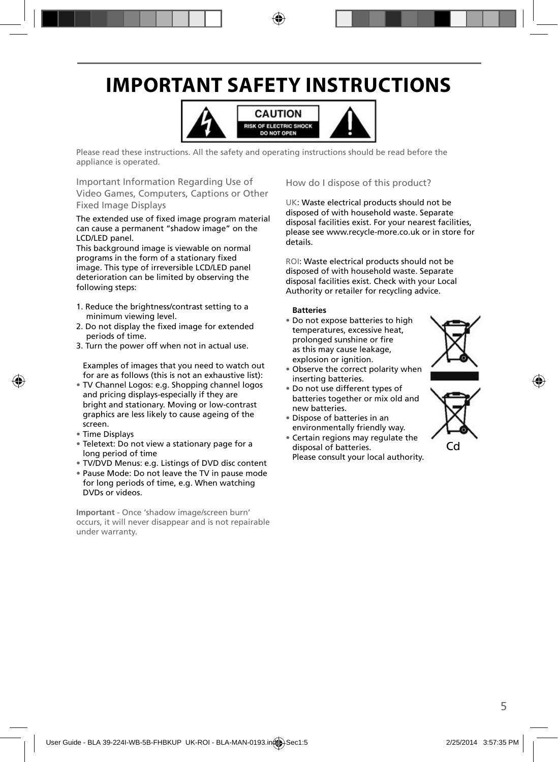## **IMPORTANT SAFETY INSTRUCTIONS**



Please read these instructions. All the safety and operating instructions should be read before the appliance is operated.

Important Information Regarding Use of Video Games, Computers, Captions or Other Fixed Image Displays

The extended use of fixed image program material can cause a permanent "shadow image" on the LCD/LED panel.

This background image is viewable on normal programs in the form of a stationary fixed image. This type of irreversible LCD/LED panel deterioration can be limited by observing the following steps:

- 1. Reduce the brightness/contrast setting to a minimum viewing level.
- 2. Do not display the fixed image for extended periods of time.
- 3. Turn the power off when not in actual use.

Examples of images that you need to watch out for are as follows (this is not an exhaustive list):

- TV Channel Logos: e.g. Shopping channel logos and pricing displays-especially if they are bright and stationary. Moving or low-contrast graphics are less likely to cause ageing of the screen.
- Time Displays
- Teletext: Do not view a stationary page for a long period of time
- TV/DVD Menus: e.g. Listings of DVD disc content
- Pause Mode: Do not leave the TV in pause mode for long periods of time, e.g. When watching DVDs or videos.

**Important** - Once 'shadow image/screen burn' occurs, it will never disappear and is not repairable under warranty.

How do I dispose of this product?

UK: Waste electrical products should not be disposed of with household waste. Separate disposal facilities exist. For your nearest facilities, please see www.recycle-more.co.uk or in store for details.

ROI: Waste electrical products should not be disposed of with household waste. Separate disposal facilities exist. Check with your Local Authority or retailer for recycling advice.

#### **Batteries**

• Do not expose batteries to high temperatures, excessive heat, prolonged sunshine or fire as this may cause leakage, explosion or ignition.



- Observe the correct polarity when inserting batteries.
- Do not use different types of batteries together or mix old and new batteries.
- Dispose of batteries in an environmentally friendly way.
- Certain regions may regulate the disposal of batteries. Please consult your local authority.

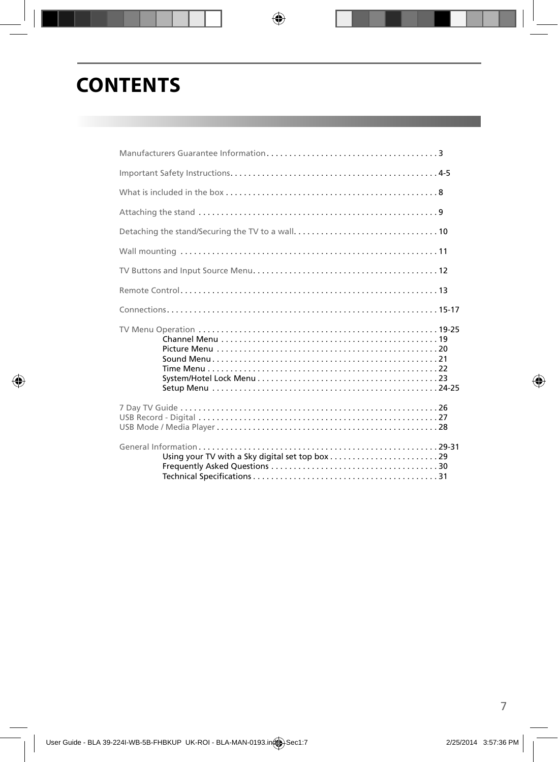## **CONTENTS**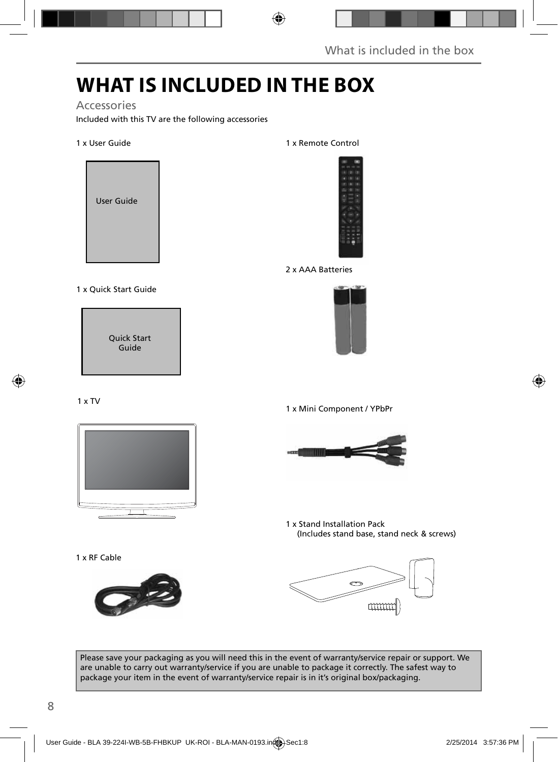## **WHAT IS INCLUDED IN THE BOX**

Accessories

Included with this TV are the following accessories

1 x User Guide



1 x Quick Start Guide

Quick Start Guide

#### 1 x TV



1 x RF Cable



1 x Remote Control



2 x AAA Batteries



1 x Mini Component / YPbPr



1 x Stand Installation Pack (Includes stand base, stand neck & screws)



Please save your packaging as you will need this in the event of warranty/service repair or support. We are unable to carry out warranty/service if you are unable to package it correctly. The safest way to package your item in the event of warranty/service repair is in it's original box/packaging.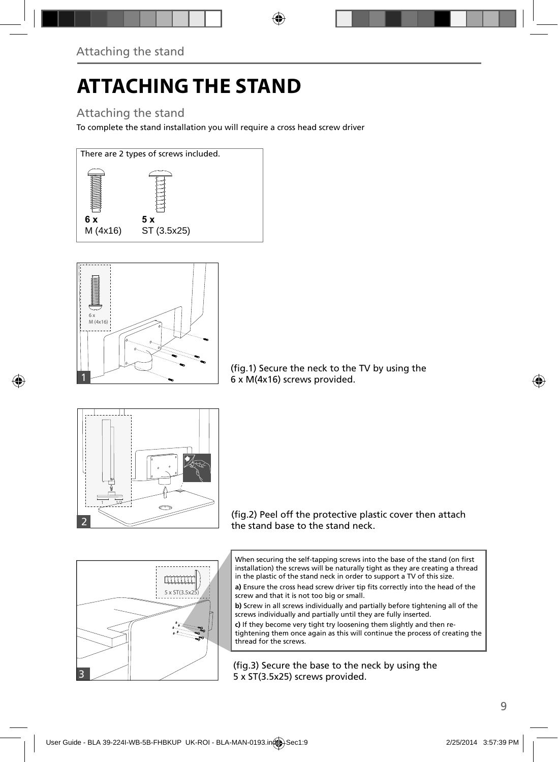# **ATTACHING THE STAND**

### Attaching the stand

To complete the stand installation you will require a cross head screw driver





(fig.1) Secure the neck to the TV by using the 6 x M(4x16) screws provided.



(fig.2) Peel off the protective plastic cover then attach the stand base to the stand neck.



a) Ensure the cross head screw driver tip fits correctly into the head of the screw and that it is not too big or small.

**b)** Screw in all screws individually and partially before tightening all of the screws individually and partially until they are fully inserted.

**c)** If they become very tight try loosening them slightly and then retightening them once again as this will continue the process of creating the thread for the screws.

(fig.3) Secure the base to the neck by using the 5 x ST(3.5x25) screws provided.

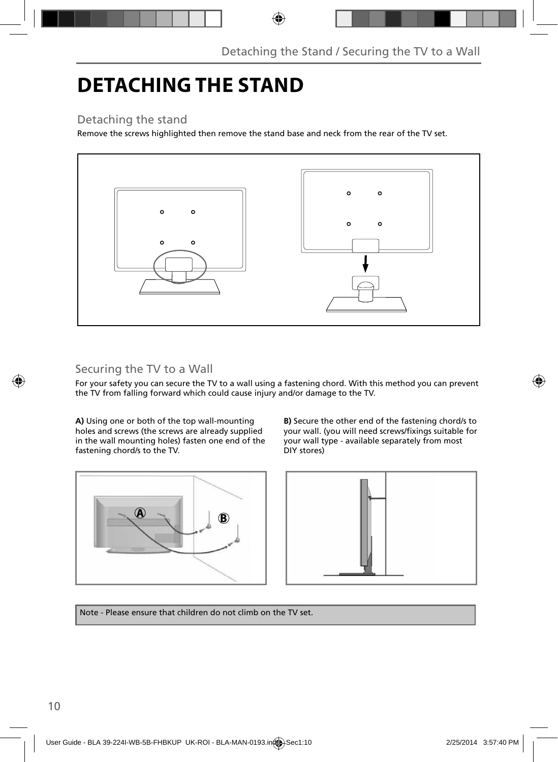### **DETACHING THE STAND**

### Detaching the stand

Remove the screws highlighted then remove the stand base and neck from the rear of the TV set.



### Securing the TV to a Wall

For your safety you can secure the TV to a wall using a fastening chord. With this method you can prevent the TV from falling forward which could cause injury and/or damage to the TV.

**A)** Using one or both of the top wall-mounting holes and screws (the screws are already supplied in the wall mounting holes) fasten one end of the fastening chord/s to the TV.

**B)** Secure the other end of the fastening chord/s to your wall. (you will need screws/fixings suitable for your wall type - available separately from most DIY stores)





Note - Please ensure that children do not climb on the TV set.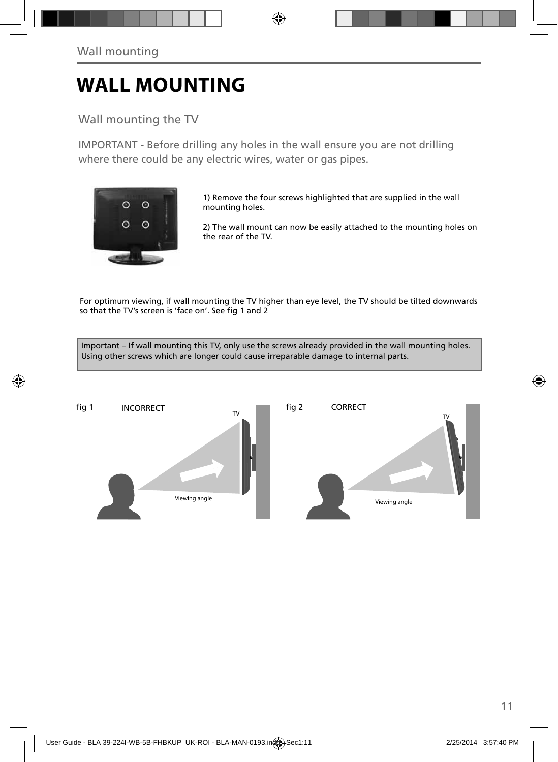### **WALL MOUNTING**

Wall mounting the TV

IMPORTANT - Before drilling any holes in the wall ensure you are not drilling where there could be any electric wires, water or gas pipes.



1) Remove the four screws highlighted that are supplied in the wall mounting holes.

2) The wall mount can now be easily attached to the mounting holes on the rear of the TV.

For optimum viewing, if wall mounting the TV higher than eye level, the TV should be tilted downwards so that the TV's screen is 'face on'. See fig 1 and 2

Important – If wall mounting this TV, only use the screws already provided in the wall mounting holes. Using other screws which are longer could cause irreparable damage to internal parts.

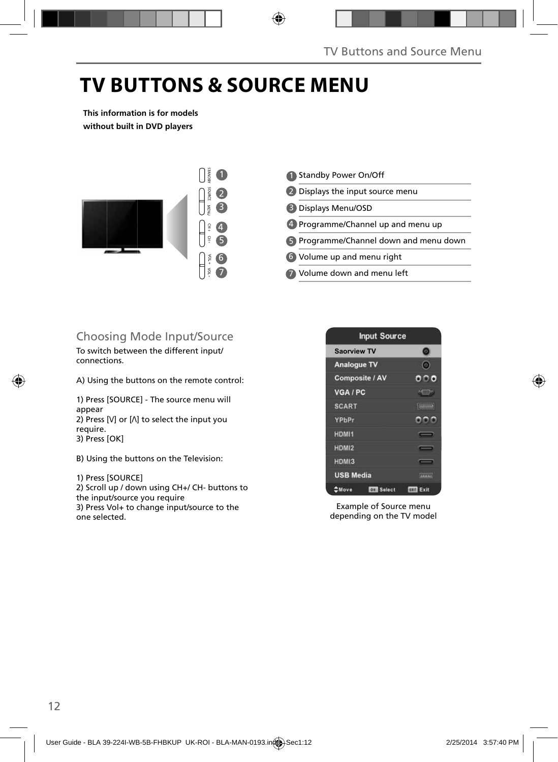## **TV BUTTONS & SOURCE MENU**

**This information is for models without built in DVD players**



- Standby Power On/Off 1 2 Displays the input source menu Displays Menu/OSD 3 4 Programme/Channel up and menu up Programme/Channel down and menu down 5 Volume up and menu right 6
- Volume down and menu left 7

### Choosing Mode Input/Source

To switch between the different input/ connections.

A) Using the buttons on the remote control:

1) Press [SOURCE] - The source menu will appear 2) Press  $[V]$  or  $[\Lambda]$  to select the input you require. 3) Press [OK]

B) Using the buttons on the Television:

1) Press [SOURCE]

2) Scroll up / down using CH+/ CH- buttons to the input/source you require 3) Press Vol+ to change input/source to the one selected.



Example of Source menu depending on the TV model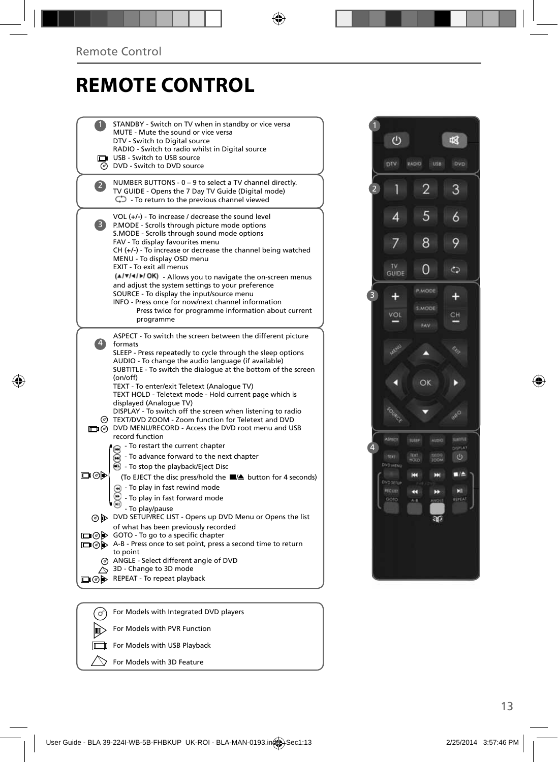### **REMOTE CONTROL**

| STANDBY - Switch on TV when in standby or vice versa<br>MUTE - Mute the sound or vice versa<br>DTV - Switch to Digital source<br>RADIO - Switch to radio whilst in Digital source<br>USB - Switch to USB source<br>@ DVD - Switch to DVD source<br>NUMBER BUTTONS - 0 - 9 to select a TV channel directly.<br>$\overline{2}$<br>TV GUIDE - Opens the 7 Day TV Guide (Digital mode)<br>$\mathbb{C}$ - To return to the previous channel viewed<br>VOL (+/-) - To increase / decrease the sound level<br>3)<br>P.MODE - Scrolls through picture mode options<br>S.MODE - Scrolls through sound mode options<br>FAV - To display favourites menu<br>$CH (+/-)$ - To increase or decrease the channel being watched<br>MENU - To display OSD menu<br>EXIT - To exit all menus<br>(A/V/4/M/OK) - Allows you to navigate the on-screen menus<br>and adjust the system settings to your preference<br>SOURCE - To display the input/source menu<br>INFO - Press once for now/next channel information<br>Press twice for programme information about current<br>programme<br>ASPECT - To switch the screen between the different picture<br>formats<br>SLEEP - Press repeatedly to cycle through the sleep options<br>AUDIO - To change the audio language (if available)<br>SUBTITLE - To switch the dialogue at the bottom of the screen<br>(on/off)<br>TEXT - To enter/exit Teletext (Analogue TV)<br>TEXT HOLD - Teletext mode - Hold current page which is<br>displayed (Analogue TV)<br>DISPLAY - To switch off the screen when listening to radio<br>TEXT/DVD ZOOM - Zoom function for Teletext and DVD<br>(တ)<br>n @ DVD MENU/RECORD - Access the DVD root menu and USB<br>record function<br>- To restart the current chapter<br>⋒<br>- To advance forward to the next chapter<br>$\left( \blacksquare \right)$<br>◯ - To stop the playback/Eject Disc<br>య⊚⊡<br>(To EJECT the disc press/hold the ■▲ button for 4 seconds)<br>+ To play in fast rewind mode<br>- To play in fast forward mode<br>- To play/pause<br>⊙ DVD SETUP/REC LIST - Opens up DVD Menu or Opens the list<br>of what has been previously recorded<br>□ ⊙ > GOTO - To go to a specific chapter<br>A-B - Press once to set point, press a second time to return<br>to point<br>@ ANGLE - Select different angle of DVD<br>3D - Change to 3D mode<br>REPEAT - To repeat playback<br>⊡ா⊚⊫ |    |                                        |
|---------------------------------------------------------------------------------------------------------------------------------------------------------------------------------------------------------------------------------------------------------------------------------------------------------------------------------------------------------------------------------------------------------------------------------------------------------------------------------------------------------------------------------------------------------------------------------------------------------------------------------------------------------------------------------------------------------------------------------------------------------------------------------------------------------------------------------------------------------------------------------------------------------------------------------------------------------------------------------------------------------------------------------------------------------------------------------------------------------------------------------------------------------------------------------------------------------------------------------------------------------------------------------------------------------------------------------------------------------------------------------------------------------------------------------------------------------------------------------------------------------------------------------------------------------------------------------------------------------------------------------------------------------------------------------------------------------------------------------------------------------------------------------------------------------------------------------------------------------------------------------------------------------------------------------------------------------------------------------------------------------------------------------------------------------------------------------------------------------------------------------------------------------------------------------------------------------------------------------------------------------------------------------------------------------------------------------------------------------------|----|----------------------------------------|
|                                                                                                                                                                                                                                                                                                                                                                                                                                                                                                                                                                                                                                                                                                                                                                                                                                                                                                                                                                                                                                                                                                                                                                                                                                                                                                                                                                                                                                                                                                                                                                                                                                                                                                                                                                                                                                                                                                                                                                                                                                                                                                                                                                                                                                                                                                                                                               |    |                                        |
|                                                                                                                                                                                                                                                                                                                                                                                                                                                                                                                                                                                                                                                                                                                                                                                                                                                                                                                                                                                                                                                                                                                                                                                                                                                                                                                                                                                                                                                                                                                                                                                                                                                                                                                                                                                                                                                                                                                                                                                                                                                                                                                                                                                                                                                                                                                                                               |    |                                        |
|                                                                                                                                                                                                                                                                                                                                                                                                                                                                                                                                                                                                                                                                                                                                                                                                                                                                                                                                                                                                                                                                                                                                                                                                                                                                                                                                                                                                                                                                                                                                                                                                                                                                                                                                                                                                                                                                                                                                                                                                                                                                                                                                                                                                                                                                                                                                                               |    |                                        |
|                                                                                                                                                                                                                                                                                                                                                                                                                                                                                                                                                                                                                                                                                                                                                                                                                                                                                                                                                                                                                                                                                                                                                                                                                                                                                                                                                                                                                                                                                                                                                                                                                                                                                                                                                                                                                                                                                                                                                                                                                                                                                                                                                                                                                                                                                                                                                               |    |                                        |
|                                                                                                                                                                                                                                                                                                                                                                                                                                                                                                                                                                                                                                                                                                                                                                                                                                                                                                                                                                                                                                                                                                                                                                                                                                                                                                                                                                                                                                                                                                                                                                                                                                                                                                                                                                                                                                                                                                                                                                                                                                                                                                                                                                                                                                                                                                                                                               |    |                                        |
|                                                                                                                                                                                                                                                                                                                                                                                                                                                                                                                                                                                                                                                                                                                                                                                                                                                                                                                                                                                                                                                                                                                                                                                                                                                                                                                                                                                                                                                                                                                                                                                                                                                                                                                                                                                                                                                                                                                                                                                                                                                                                                                                                                                                                                                                                                                                                               |    |                                        |
|                                                                                                                                                                                                                                                                                                                                                                                                                                                                                                                                                                                                                                                                                                                                                                                                                                                                                                                                                                                                                                                                                                                                                                                                                                                                                                                                                                                                                                                                                                                                                                                                                                                                                                                                                                                                                                                                                                                                                                                                                                                                                                                                                                                                                                                                                                                                                               |    |                                        |
|                                                                                                                                                                                                                                                                                                                                                                                                                                                                                                                                                                                                                                                                                                                                                                                                                                                                                                                                                                                                                                                                                                                                                                                                                                                                                                                                                                                                                                                                                                                                                                                                                                                                                                                                                                                                                                                                                                                                                                                                                                                                                                                                                                                                                                                                                                                                                               |    |                                        |
|                                                                                                                                                                                                                                                                                                                                                                                                                                                                                                                                                                                                                                                                                                                                                                                                                                                                                                                                                                                                                                                                                                                                                                                                                                                                                                                                                                                                                                                                                                                                                                                                                                                                                                                                                                                                                                                                                                                                                                                                                                                                                                                                                                                                                                                                                                                                                               |    |                                        |
|                                                                                                                                                                                                                                                                                                                                                                                                                                                                                                                                                                                                                                                                                                                                                                                                                                                                                                                                                                                                                                                                                                                                                                                                                                                                                                                                                                                                                                                                                                                                                                                                                                                                                                                                                                                                                                                                                                                                                                                                                                                                                                                                                                                                                                                                                                                                                               |    |                                        |
|                                                                                                                                                                                                                                                                                                                                                                                                                                                                                                                                                                                                                                                                                                                                                                                                                                                                                                                                                                                                                                                                                                                                                                                                                                                                                                                                                                                                                                                                                                                                                                                                                                                                                                                                                                                                                                                                                                                                                                                                                                                                                                                                                                                                                                                                                                                                                               |    |                                        |
|                                                                                                                                                                                                                                                                                                                                                                                                                                                                                                                                                                                                                                                                                                                                                                                                                                                                                                                                                                                                                                                                                                                                                                                                                                                                                                                                                                                                                                                                                                                                                                                                                                                                                                                                                                                                                                                                                                                                                                                                                                                                                                                                                                                                                                                                                                                                                               |    |                                        |
|                                                                                                                                                                                                                                                                                                                                                                                                                                                                                                                                                                                                                                                                                                                                                                                                                                                                                                                                                                                                                                                                                                                                                                                                                                                                                                                                                                                                                                                                                                                                                                                                                                                                                                                                                                                                                                                                                                                                                                                                                                                                                                                                                                                                                                                                                                                                                               |    |                                        |
|                                                                                                                                                                                                                                                                                                                                                                                                                                                                                                                                                                                                                                                                                                                                                                                                                                                                                                                                                                                                                                                                                                                                                                                                                                                                                                                                                                                                                                                                                                                                                                                                                                                                                                                                                                                                                                                                                                                                                                                                                                                                                                                                                                                                                                                                                                                                                               |    |                                        |
|                                                                                                                                                                                                                                                                                                                                                                                                                                                                                                                                                                                                                                                                                                                                                                                                                                                                                                                                                                                                                                                                                                                                                                                                                                                                                                                                                                                                                                                                                                                                                                                                                                                                                                                                                                                                                                                                                                                                                                                                                                                                                                                                                                                                                                                                                                                                                               |    |                                        |
|                                                                                                                                                                                                                                                                                                                                                                                                                                                                                                                                                                                                                                                                                                                                                                                                                                                                                                                                                                                                                                                                                                                                                                                                                                                                                                                                                                                                                                                                                                                                                                                                                                                                                                                                                                                                                                                                                                                                                                                                                                                                                                                                                                                                                                                                                                                                                               |    |                                        |
|                                                                                                                                                                                                                                                                                                                                                                                                                                                                                                                                                                                                                                                                                                                                                                                                                                                                                                                                                                                                                                                                                                                                                                                                                                                                                                                                                                                                                                                                                                                                                                                                                                                                                                                                                                                                                                                                                                                                                                                                                                                                                                                                                                                                                                                                                                                                                               |    |                                        |
|                                                                                                                                                                                                                                                                                                                                                                                                                                                                                                                                                                                                                                                                                                                                                                                                                                                                                                                                                                                                                                                                                                                                                                                                                                                                                                                                                                                                                                                                                                                                                                                                                                                                                                                                                                                                                                                                                                                                                                                                                                                                                                                                                                                                                                                                                                                                                               |    |                                        |
|                                                                                                                                                                                                                                                                                                                                                                                                                                                                                                                                                                                                                                                                                                                                                                                                                                                                                                                                                                                                                                                                                                                                                                                                                                                                                                                                                                                                                                                                                                                                                                                                                                                                                                                                                                                                                                                                                                                                                                                                                                                                                                                                                                                                                                                                                                                                                               |    |                                        |
|                                                                                                                                                                                                                                                                                                                                                                                                                                                                                                                                                                                                                                                                                                                                                                                                                                                                                                                                                                                                                                                                                                                                                                                                                                                                                                                                                                                                                                                                                                                                                                                                                                                                                                                                                                                                                                                                                                                                                                                                                                                                                                                                                                                                                                                                                                                                                               |    |                                        |
|                                                                                                                                                                                                                                                                                                                                                                                                                                                                                                                                                                                                                                                                                                                                                                                                                                                                                                                                                                                                                                                                                                                                                                                                                                                                                                                                                                                                                                                                                                                                                                                                                                                                                                                                                                                                                                                                                                                                                                                                                                                                                                                                                                                                                                                                                                                                                               |    |                                        |
|                                                                                                                                                                                                                                                                                                                                                                                                                                                                                                                                                                                                                                                                                                                                                                                                                                                                                                                                                                                                                                                                                                                                                                                                                                                                                                                                                                                                                                                                                                                                                                                                                                                                                                                                                                                                                                                                                                                                                                                                                                                                                                                                                                                                                                                                                                                                                               |    |                                        |
|                                                                                                                                                                                                                                                                                                                                                                                                                                                                                                                                                                                                                                                                                                                                                                                                                                                                                                                                                                                                                                                                                                                                                                                                                                                                                                                                                                                                                                                                                                                                                                                                                                                                                                                                                                                                                                                                                                                                                                                                                                                                                                                                                                                                                                                                                                                                                               |    |                                        |
|                                                                                                                                                                                                                                                                                                                                                                                                                                                                                                                                                                                                                                                                                                                                                                                                                                                                                                                                                                                                                                                                                                                                                                                                                                                                                                                                                                                                                                                                                                                                                                                                                                                                                                                                                                                                                                                                                                                                                                                                                                                                                                                                                                                                                                                                                                                                                               |    |                                        |
|                                                                                                                                                                                                                                                                                                                                                                                                                                                                                                                                                                                                                                                                                                                                                                                                                                                                                                                                                                                                                                                                                                                                                                                                                                                                                                                                                                                                                                                                                                                                                                                                                                                                                                                                                                                                                                                                                                                                                                                                                                                                                                                                                                                                                                                                                                                                                               |    |                                        |
|                                                                                                                                                                                                                                                                                                                                                                                                                                                                                                                                                                                                                                                                                                                                                                                                                                                                                                                                                                                                                                                                                                                                                                                                                                                                                                                                                                                                                                                                                                                                                                                                                                                                                                                                                                                                                                                                                                                                                                                                                                                                                                                                                                                                                                                                                                                                                               |    |                                        |
|                                                                                                                                                                                                                                                                                                                                                                                                                                                                                                                                                                                                                                                                                                                                                                                                                                                                                                                                                                                                                                                                                                                                                                                                                                                                                                                                                                                                                                                                                                                                                                                                                                                                                                                                                                                                                                                                                                                                                                                                                                                                                                                                                                                                                                                                                                                                                               |    |                                        |
|                                                                                                                                                                                                                                                                                                                                                                                                                                                                                                                                                                                                                                                                                                                                                                                                                                                                                                                                                                                                                                                                                                                                                                                                                                                                                                                                                                                                                                                                                                                                                                                                                                                                                                                                                                                                                                                                                                                                                                                                                                                                                                                                                                                                                                                                                                                                                               |    |                                        |
|                                                                                                                                                                                                                                                                                                                                                                                                                                                                                                                                                                                                                                                                                                                                                                                                                                                                                                                                                                                                                                                                                                                                                                                                                                                                                                                                                                                                                                                                                                                                                                                                                                                                                                                                                                                                                                                                                                                                                                                                                                                                                                                                                                                                                                                                                                                                                               |    |                                        |
|                                                                                                                                                                                                                                                                                                                                                                                                                                                                                                                                                                                                                                                                                                                                                                                                                                                                                                                                                                                                                                                                                                                                                                                                                                                                                                                                                                                                                                                                                                                                                                                                                                                                                                                                                                                                                                                                                                                                                                                                                                                                                                                                                                                                                                                                                                                                                               |    |                                        |
|                                                                                                                                                                                                                                                                                                                                                                                                                                                                                                                                                                                                                                                                                                                                                                                                                                                                                                                                                                                                                                                                                                                                                                                                                                                                                                                                                                                                                                                                                                                                                                                                                                                                                                                                                                                                                                                                                                                                                                                                                                                                                                                                                                                                                                                                                                                                                               |    |                                        |
|                                                                                                                                                                                                                                                                                                                                                                                                                                                                                                                                                                                                                                                                                                                                                                                                                                                                                                                                                                                                                                                                                                                                                                                                                                                                                                                                                                                                                                                                                                                                                                                                                                                                                                                                                                                                                                                                                                                                                                                                                                                                                                                                                                                                                                                                                                                                                               |    |                                        |
|                                                                                                                                                                                                                                                                                                                                                                                                                                                                                                                                                                                                                                                                                                                                                                                                                                                                                                                                                                                                                                                                                                                                                                                                                                                                                                                                                                                                                                                                                                                                                                                                                                                                                                                                                                                                                                                                                                                                                                                                                                                                                                                                                                                                                                                                                                                                                               |    |                                        |
|                                                                                                                                                                                                                                                                                                                                                                                                                                                                                                                                                                                                                                                                                                                                                                                                                                                                                                                                                                                                                                                                                                                                                                                                                                                                                                                                                                                                                                                                                                                                                                                                                                                                                                                                                                                                                                                                                                                                                                                                                                                                                                                                                                                                                                                                                                                                                               |    |                                        |
|                                                                                                                                                                                                                                                                                                                                                                                                                                                                                                                                                                                                                                                                                                                                                                                                                                                                                                                                                                                                                                                                                                                                                                                                                                                                                                                                                                                                                                                                                                                                                                                                                                                                                                                                                                                                                                                                                                                                                                                                                                                                                                                                                                                                                                                                                                                                                               |    |                                        |
|                                                                                                                                                                                                                                                                                                                                                                                                                                                                                                                                                                                                                                                                                                                                                                                                                                                                                                                                                                                                                                                                                                                                                                                                                                                                                                                                                                                                                                                                                                                                                                                                                                                                                                                                                                                                                                                                                                                                                                                                                                                                                                                                                                                                                                                                                                                                                               |    |                                        |
|                                                                                                                                                                                                                                                                                                                                                                                                                                                                                                                                                                                                                                                                                                                                                                                                                                                                                                                                                                                                                                                                                                                                                                                                                                                                                                                                                                                                                                                                                                                                                                                                                                                                                                                                                                                                                                                                                                                                                                                                                                                                                                                                                                                                                                                                                                                                                               |    |                                        |
|                                                                                                                                                                                                                                                                                                                                                                                                                                                                                                                                                                                                                                                                                                                                                                                                                                                                                                                                                                                                                                                                                                                                                                                                                                                                                                                                                                                                                                                                                                                                                                                                                                                                                                                                                                                                                                                                                                                                                                                                                                                                                                                                                                                                                                                                                                                                                               |    |                                        |
|                                                                                                                                                                                                                                                                                                                                                                                                                                                                                                                                                                                                                                                                                                                                                                                                                                                                                                                                                                                                                                                                                                                                                                                                                                                                                                                                                                                                                                                                                                                                                                                                                                                                                                                                                                                                                                                                                                                                                                                                                                                                                                                                                                                                                                                                                                                                                               |    |                                        |
|                                                                                                                                                                                                                                                                                                                                                                                                                                                                                                                                                                                                                                                                                                                                                                                                                                                                                                                                                                                                                                                                                                                                                                                                                                                                                                                                                                                                                                                                                                                                                                                                                                                                                                                                                                                                                                                                                                                                                                                                                                                                                                                                                                                                                                                                                                                                                               |    |                                        |
|                                                                                                                                                                                                                                                                                                                                                                                                                                                                                                                                                                                                                                                                                                                                                                                                                                                                                                                                                                                                                                                                                                                                                                                                                                                                                                                                                                                                                                                                                                                                                                                                                                                                                                                                                                                                                                                                                                                                                                                                                                                                                                                                                                                                                                                                                                                                                               |    |                                        |
|                                                                                                                                                                                                                                                                                                                                                                                                                                                                                                                                                                                                                                                                                                                                                                                                                                                                                                                                                                                                                                                                                                                                                                                                                                                                                                                                                                                                                                                                                                                                                                                                                                                                                                                                                                                                                                                                                                                                                                                                                                                                                                                                                                                                                                                                                                                                                               |    |                                        |
|                                                                                                                                                                                                                                                                                                                                                                                                                                                                                                                                                                                                                                                                                                                                                                                                                                                                                                                                                                                                                                                                                                                                                                                                                                                                                                                                                                                                                                                                                                                                                                                                                                                                                                                                                                                                                                                                                                                                                                                                                                                                                                                                                                                                                                                                                                                                                               |    |                                        |
|                                                                                                                                                                                                                                                                                                                                                                                                                                                                                                                                                                                                                                                                                                                                                                                                                                                                                                                                                                                                                                                                                                                                                                                                                                                                                                                                                                                                                                                                                                                                                                                                                                                                                                                                                                                                                                                                                                                                                                                                                                                                                                                                                                                                                                                                                                                                                               |    |                                        |
|                                                                                                                                                                                                                                                                                                                                                                                                                                                                                                                                                                                                                                                                                                                                                                                                                                                                                                                                                                                                                                                                                                                                                                                                                                                                                                                                                                                                                                                                                                                                                                                                                                                                                                                                                                                                                                                                                                                                                                                                                                                                                                                                                                                                                                                                                                                                                               |    |                                        |
|                                                                                                                                                                                                                                                                                                                                                                                                                                                                                                                                                                                                                                                                                                                                                                                                                                                                                                                                                                                                                                                                                                                                                                                                                                                                                                                                                                                                                                                                                                                                                                                                                                                                                                                                                                                                                                                                                                                                                                                                                                                                                                                                                                                                                                                                                                                                                               | (ഗ | For Models with Integrated DVD players |



For Models with USB Playback  $\Diamond$  For Models with 3D Feature

⑩

Γ

For Models with PVR Function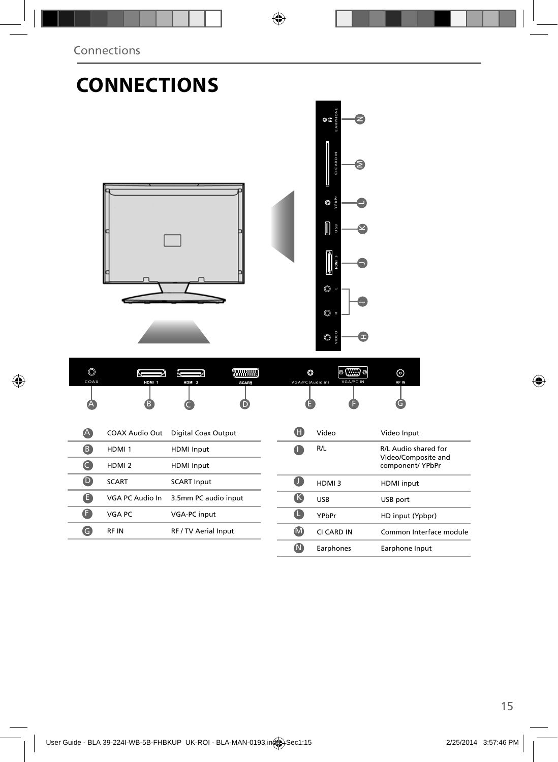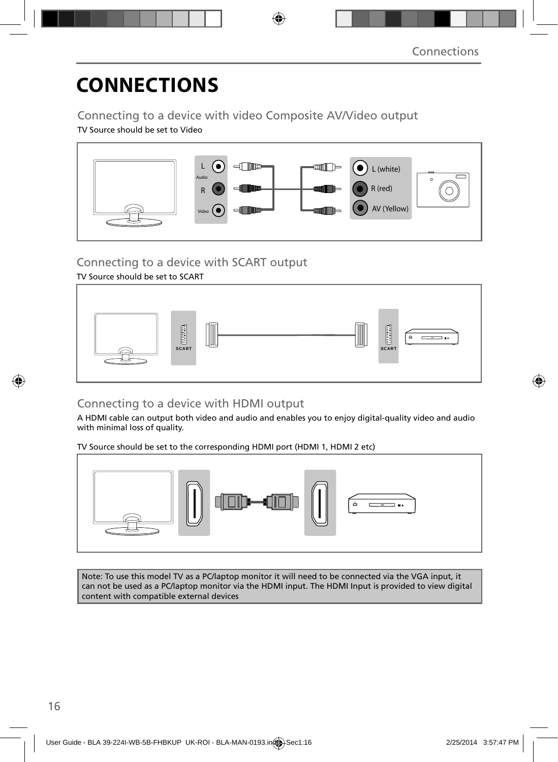# **CONNECTIONS**

Connecting to a device with video Composite AV/Video output

TV Source should be set to Video



### Connecting to a device with SCART output

#### TV Source should be set to SCART



### Connecting to a device with HDMI output

A HDMI cable can output both video and audio and enables you to enjoy digital-quality video and audio with minimal loss of quality.

TV Source should be set to the corresponding HDMI port (HDMI 1, HDMI 2 etc)



Note: To use this model TV as a PC/laptop monitor it will need to be connected via the VGA input, it can not be used as a PC/laptop monitor via the HDMI input. The HDMI Input is provided to view digital content with compatible external devices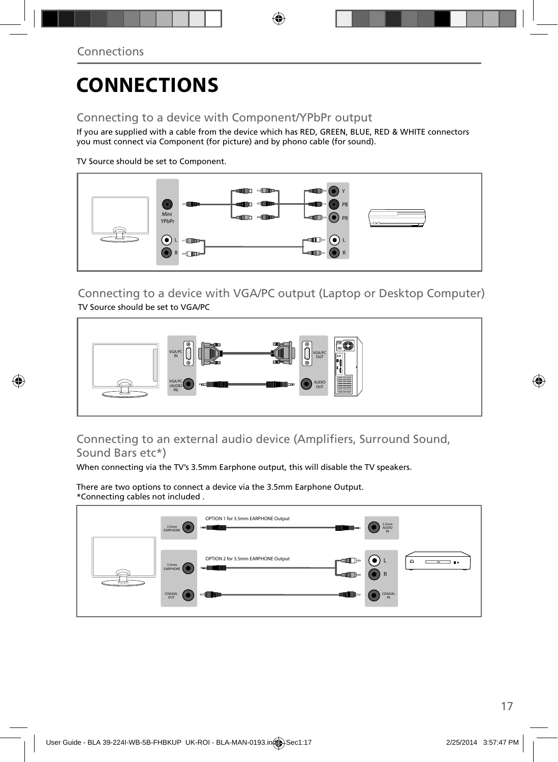# **CONNECTIONS**

### Connecting to a device with Component/YPbPr output

If you are supplied with a cable from the device which has RED, GREEN, BLUE, RED & WHITE connectors you must connect via Component (for picture) and by phono cable (for sound).

TV Source should be set to Component.



Connecting to a device with VGA/PC output (Laptop or Desktop Computer) TV Source should be set to VGA/PC



### Connecting to an external audio device (Amplifiers, Surround Sound, Sound Bars etc\*)

When connecting via the TV's 3.5mm Earphone output, this will disable the TV speakers.

There are two options to connect a device via the 3.5mm Earphone Output. \*Connecting cables not included .

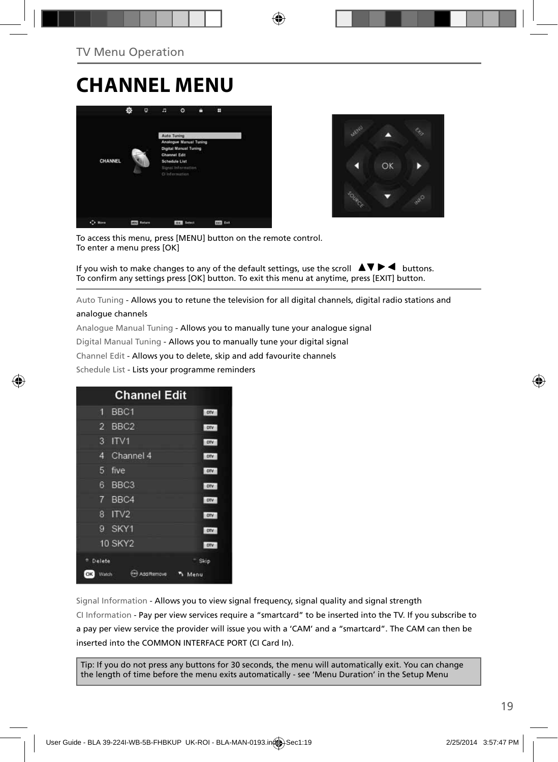### **CHANNEL MENU**





To access this menu, press [MENU] button on the remote control. To enter a menu press [OK]

If you wish to make changes to any of the default settings, use the scroll  $\blacktriangle \blacktriangledown \blacktriangleright \blacktriangleleft$  buttons. To confirm any settings press [OK] button. To exit this menu at anytime, press [EXIT] button.

Auto Tuning - Allows you to retune the television for all digital channels, digital radio stations and analogue channels

Analogue Manual Tuning - Allows you to manually tune your analogue signal

Digital Manual Tuning - Allows you to manually tune your digital signal

Channel Edit - Allows you to delete, skip and add favourite channels

Schedule List - Lists your programme reminders

| <b>Channel Edit</b>                |            |
|------------------------------------|------------|
| BBC1<br>۸                          | otv        |
| BBC <sub>2</sub><br>$\overline{2}$ | orv        |
| 3<br>ITVI                          | orv        |
| Channel 4<br>Δ                     | <b>DIV</b> |
| 5<br>five                          | <b>CIV</b> |
| 6<br>BBC <sub>3</sub>              | orv        |
| BBC4<br>7                          | DTV        |
| ITV <sub>2</sub><br>8              | otv        |
| SKY1<br>g                          | one:       |
| <b>10 SKY2</b>                     | DTV        |
| <sup>n</sup> Delete                | Skip       |
| OK<br>Add Remove<br>Watch          | Menu       |

Signal Information - Allows you to view signal frequency, signal quality and signal strength CI Information - Pay per view services require a "smartcard" to be inserted into the TV. If you subscribe to a pay per view service the provider will issue you with a 'CAM' and a "smartcard". The CAM can then be inserted into the COMMON INTERFACE PORT (CI Card In).

Tip: If you do not press any buttons for 30 seconds, the menu will automatically exit. You can change the length of time before the menu exits automatically - see 'Menu Duration' in the Setup Menu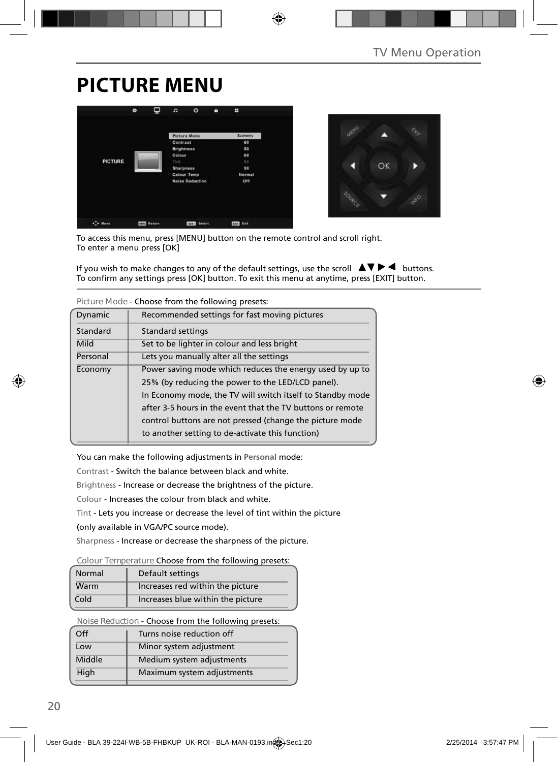## **PICTURE MENU**





To access this menu, press [MENU] button on the remote control and scroll right. To enter a menu press [OK]

If you wish to make changes to any of the default settings, use the scroll  $\Box \blacktriangledown \blacktriangleright \blacktriangleleft$  buttons. To confirm any settings press [OK] button. To exit this menu at anytime, press [EXIT] button.

|                                                   | TIGUI CHIUUC - CHUUSC TIUNI UTC TUNUWING DI CSCLS.         |  |
|---------------------------------------------------|------------------------------------------------------------|--|
| Dynamic                                           | Recommended settings for fast moving pictures              |  |
| Standard                                          | <b>Standard settings</b>                                   |  |
| Mild                                              | Set to be lighter in colour and less bright                |  |
| Personal                                          | Lets you manually alter all the settings                   |  |
| Economy                                           | Power saving mode which reduces the energy used by up to   |  |
| 25% (by reducing the power to the LED/LCD panel). |                                                            |  |
|                                                   | In Economy mode, the TV will switch itself to Standby mode |  |
|                                                   | after 3-5 hours in the event that the TV buttons or remote |  |
|                                                   | control buttons are not pressed (change the picture mode   |  |
|                                                   | to another setting to de-activate this function)           |  |

**Picture Mode** - Choose from the following presets:

You can make the following adjustments in **Personal** mode:

Contrast - Switch the balance between black and white.

Brightness - Increase or decrease the brightness of the picture.

Colour - Increases the colour from black and white.

Tint - Lets you increase or decrease the level of tint within the picture

(only available in VGA/PC source mode).

Sharpness - Increase or decrease the sharpness of the picture.

#### **Colour Temperature** Choose from the following presets:

| Normal | Default settings                  |  |
|--------|-----------------------------------|--|
| Warm   | Increases red within the picture  |  |
| Cold   | Increases blue within the picture |  |

**Noise Reduction** - Choose from the following presets:

| $\Omega$ | Turns noise reduction off  |
|----------|----------------------------|
| Low      | Minor system adjustment    |
| Middle   | Medium system adjustments  |
| High     | Maximum system adjustments |
|          |                            |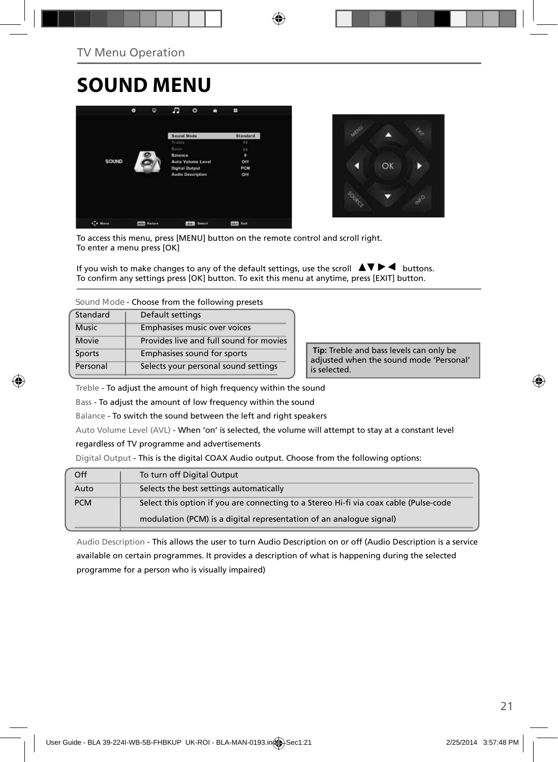## **SOUND MENU**





To access this menu, press [MENU] button on the remote control and scroll right. To enter a menu press [OK]

If you wish to make changes to any of the default settings, use the scroll  $\blacktriangle \blacktriangledown \blacktriangleright \blacktriangleleft$  buttons. To confirm any settings press [OK] button. To exit this menu at anytime, press [EXIT] button.

**Sound Mode** - Choose from the following presets

| Standard     | Default settings                        |
|--------------|-----------------------------------------|
| <b>Music</b> | Emphasises music over voices            |
| Movie        | Provides live and full sound for movies |
| Sports       | Emphasises sound for sports             |
| Personal     | Selects your personal sound settings    |

 **Tip:** Treble and bass levels can only be adjusted when the sound mode 'Personal' is selected.

Treble - To adjust the amount of high frequency within the sound

Bass - To adjust the amount of low frequency within the sound

Balance - To switch the sound between the left and right speakers

Auto Volume Level (AVL) - When 'on' is selected, the volume will attempt to stay at a constant level

regardless of TV programme and advertisements

Digital Output - This is the digital COAX Audio output. Choose from the following options:

| Off        | To turn off Digital Output                                                            |
|------------|---------------------------------------------------------------------------------------|
| Auto       | Selects the best settings automatically                                               |
| <b>PCM</b> | Select this option if you are connecting to a Stereo Hi-fi via coax cable (Pulse-code |
|            | modulation (PCM) is a digital representation of an analogue signal)                   |

Audio Description - This allows the user to turn Audio Description on or off (Audio Description is a service available on certain programmes. It provides a description of what is happening during the selected programme for a person who is visually impaired)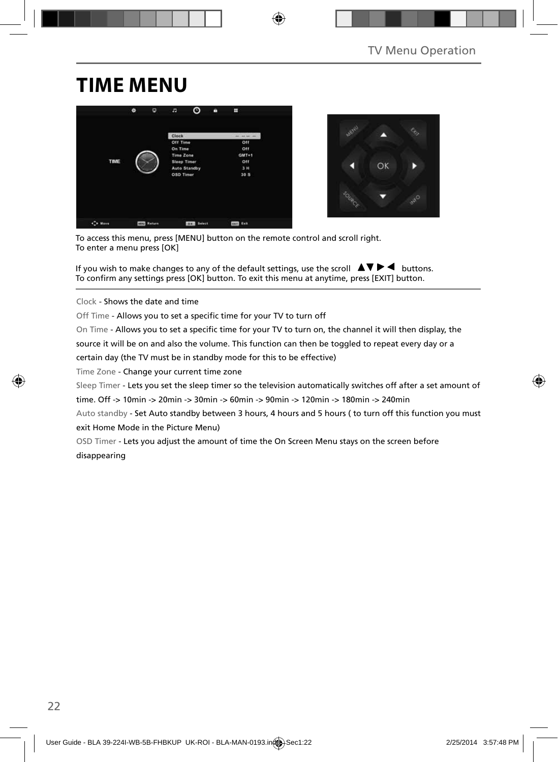### **TIME MENU**





To access this menu, press [MENU] button on the remote control and scroll right. To enter a menu press [OK]

If you wish to make changes to any of the default settings, use the scroll  $\blacktriangle \blacktriangledown \blacktriangleright \blacktriangleleft$  buttons. To confirm any settings press [OK] button. To exit this menu at anytime, press [EXIT] button.

Clock - Shows the date and time

Off Time - Allows you to set a specific time for your TV to turn off

On Time - Allows you to set a specific time for your TV to turn on, the channel it will then display, the

source it will be on and also the volume. This function can then be toggled to repeat every day or a

certain day (the TV must be in standby mode for this to be effective)

Time Zone - Change your current time zone

Sleep Timer - Lets you set the sleep timer so the television automatically switches off after a set amount of

time. Off -> 10min -> 20min -> 30min -> 60min -> 90min -> 120min -> 180min -> 240min

Auto standby - Set Auto standby between 3 hours, 4 hours and 5 hours ( to turn off this function you must exit Home Mode in the Picture Menu)

OSD Timer - Lets you adjust the amount of time the On Screen Menu stays on the screen before disappearing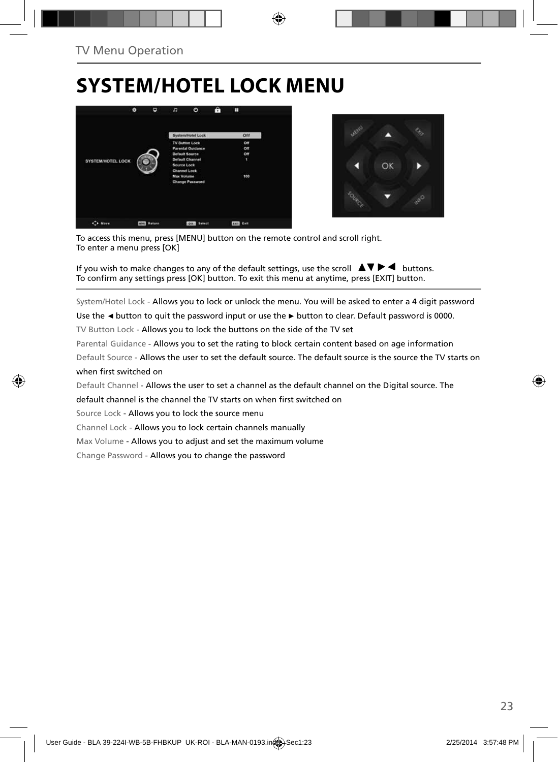## **SYSTEM/HOTEL LOCK MENU**





To access this menu, press [MENU] button on the remote control and scroll right. To enter a menu press [OK]

If you wish to make changes to any of the default settings, use the scroll  $\blacktriangle \blacktriangledown \blacktriangleright \blacktriangleleft$  buttons. To confirm any settings press [OK] button. To exit this menu at anytime, press [EXIT] button.

System/Hotel Lock - Allows you to lock or unlock the menu. You will be asked to enter a 4 digit password

Use the **◄** button to quit the password input or use the **►** button to clear. Default password is 0000.

TV Button Lock - Allows you to lock the buttons on the side of the TV set

Parental Guidance - Allows you to set the rating to block certain content based on age information

Default Source - Allows the user to set the default source. The default source is the source the TV starts on when first switched on

Default Channel - Allows the user to set a channel as the default channel on the Digital source. The

default channel is the channel the TV starts on when first switched on

Source Lock - Allows you to lock the source menu

Channel Lock - Allows you to lock certain channels manually

Max Volume - Allows you to adjust and set the maximum volume

Change Password - Allows you to change the password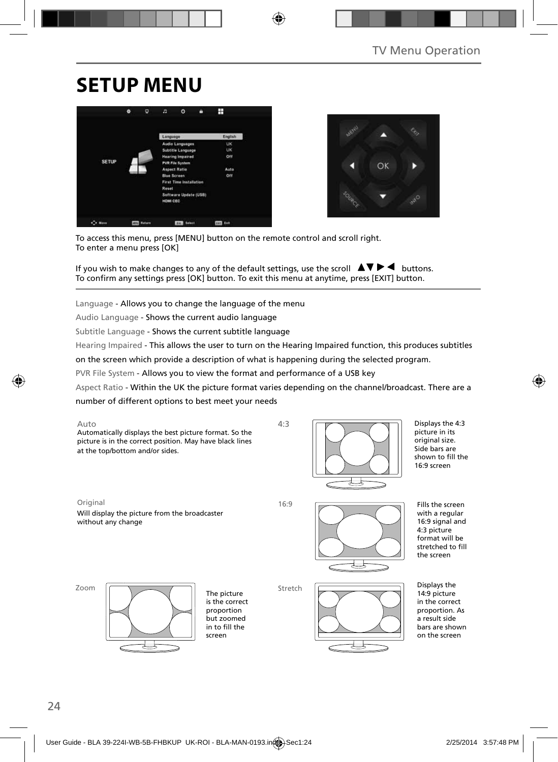## **SETUP MENU**





To access this menu, press [MENU] button on the remote control and scroll right. To enter a menu press [OK]

If you wish to make changes to any of the default settings, use the scroll  $\blacktriangle \blacktriangledown \blacktriangleright \blacktriangleleft$  buttons. To confirm any settings press [OK] button. To exit this menu at anytime, press [EXIT] button.

Language - Allows you to change the language of the menu

Audio Language - Shows the current audio language

Subtitle Language - Shows the current subtitle language

Hearing Impaired - This allows the user to turn on the Hearing Impaired function, this produces subtitles

on the screen which provide a description of what is happening during the selected program.

PVR File System - Allows you to view the format and performance of a USB key

Aspect Ratio - Within the UK the picture format varies depending on the channel/broadcast. There are a number of different options to best meet your needs





Displays the 4:3 picture in its original size. Side bars are shown to fill the 16:9 screen

Original 16:9 Will display the picture from the broadcaster without any change



Fills the screen with a regular 16:9 signal and 4:3 picture format will be stretched to fill the screen

Zoom



The picture is the correct proportion but zoomed in to fill the screen

Stretch



Displays the 14:9 picture in the correct proportion. As a result side bars are shown on the screen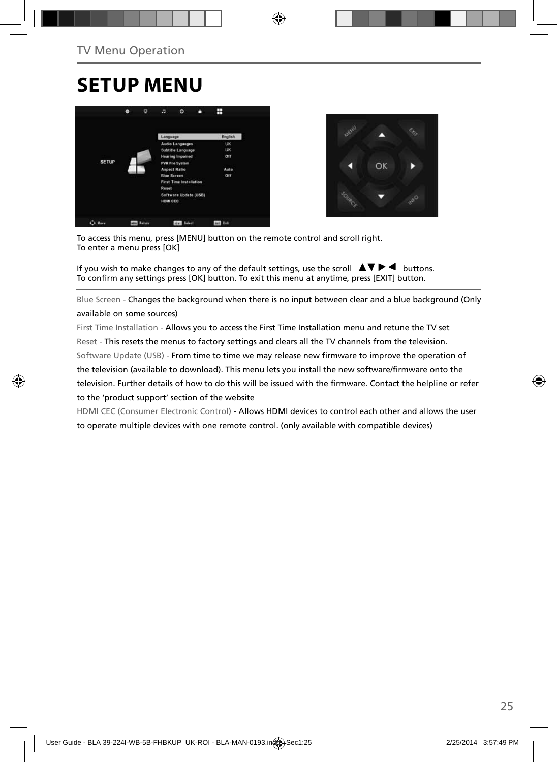### **SETUP MENU**





To access this menu, press [MENU] button on the remote control and scroll right. To enter a menu press [OK]

If you wish to make changes to any of the default settings, use the scroll  $\Box \blacktriangledown \blacktriangleright \blacktriangleleft$  buttons. To confirm any settings press [OK] button. To exit this menu at anytime, press [EXIT] button.

Blue Screen - Changes the background when there is no input between clear and a blue background (Only available on some sources)

First Time Installation - Allows you to access the First Time Installation menu and retune the TV set Reset - This resets the menus to factory settings and clears all the TV channels from the television. Software Update (USB) - From time to time we may release new firmware to improve the operation of the television (available to download). This menu lets you install the new software/firmware onto the television. Further details of how to do this will be issued with the firmware. Contact the helpline or refer to the 'product support' section of the website

HDMI CEC (Consumer Electronic Control) - Allows HDMI devices to control each other and allows the user to operate multiple devices with one remote control. (only available with compatible devices)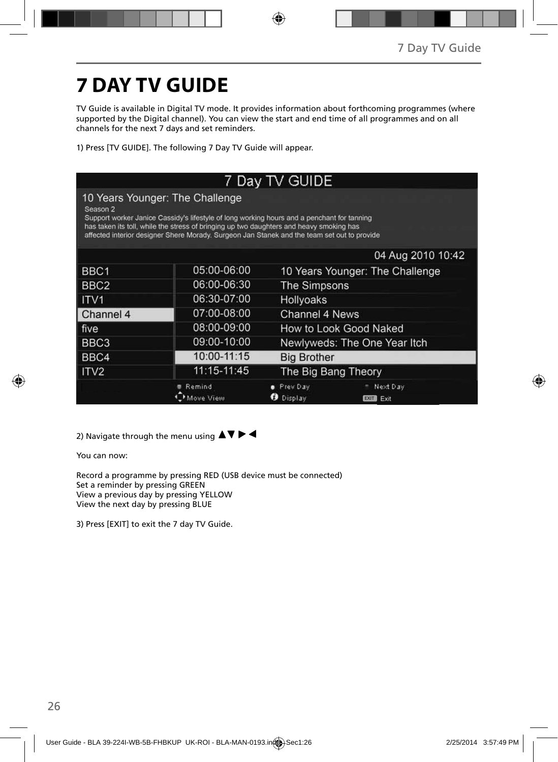# **7 DAY TV GUIDE**

TV Guide is available in Digital TV mode. It provides information about forthcoming programmes (where supported by the Digital channel). You can view the start and end time of all programmes and on all channels for the next 7 days and set reminders.

1) Press [TV GUIDE]. The following 7 Day TV Guide will appear.

|                  |                                                                                                                                                                                                                                                                                                                         | 7 Day TV GUIDE               |                                 |
|------------------|-------------------------------------------------------------------------------------------------------------------------------------------------------------------------------------------------------------------------------------------------------------------------------------------------------------------------|------------------------------|---------------------------------|
| Season 2         | 10 Years Younger: The Challenge<br>Support worker Janice Cassidy's lifestyle of long working hours and a penchant for tanning<br>has taken its toll, while the stress of bringing up two daughters and heavy smoking has<br>affected interior designer Shere Morady. Surgeon Jan Stanek and the team set out to provide |                              |                                 |
|                  |                                                                                                                                                                                                                                                                                                                         |                              | 04 Aug 2010 10:42               |
| BBC1             | 05:00-06:00                                                                                                                                                                                                                                                                                                             |                              | 10 Years Younger: The Challenge |
| BBC <sub>2</sub> | 06:00-06:30                                                                                                                                                                                                                                                                                                             | The Simpsons                 |                                 |
| ITV <sub>1</sub> | 06:30-07:00                                                                                                                                                                                                                                                                                                             | Hollyoaks                    |                                 |
| Channel 4        | 07:00-08:00                                                                                                                                                                                                                                                                                                             | Channel 4 News               |                                 |
| five             | 08:00-09:00                                                                                                                                                                                                                                                                                                             |                              | How to Look Good Naked          |
| BBC <sub>3</sub> | 09:00-10:00                                                                                                                                                                                                                                                                                                             | Newlyweds: The One Year Itch |                                 |
| BBC4             | 10:00-11:15                                                                                                                                                                                                                                                                                                             | <b>Big Brother</b>           |                                 |
| ITV <sub>2</sub> | 11:15-11:45                                                                                                                                                                                                                                                                                                             | The Big Bang Theory          |                                 |
|                  | Remind                                                                                                                                                                                                                                                                                                                  | <b>e</b> Prev Day<br>Display | Next Day<br>EXIT<br>Exit        |

2) Navigate through the menu using  $\blacktriangle \blacktriangledown \blacktriangleright \blacktriangleleft$ 

You can now:

Record a programme by pressing RED (USB device must be connected) Set a reminder by pressing GREEN View a previous day by pressing YELLOW View the next day by pressing BLUE

3) Press [EXIT] to exit the 7 day TV Guide.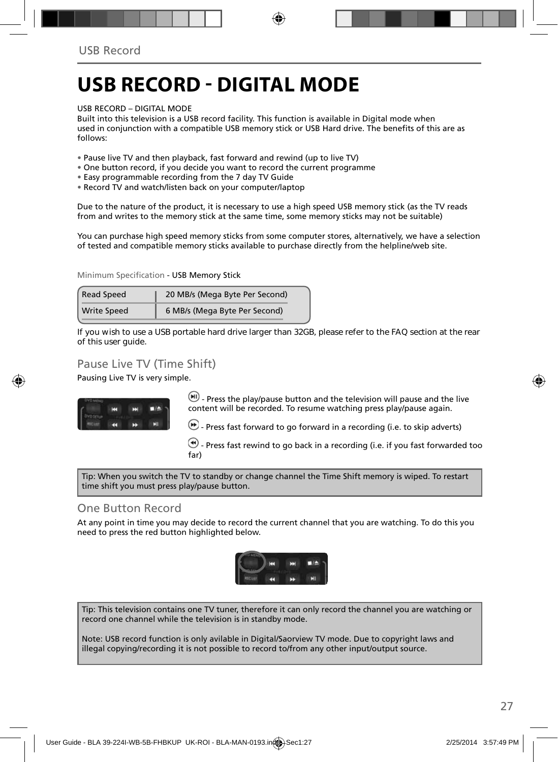### **USB RECORD - DIGITAL MODE**

#### USB RECORD – DIGITAL MODE

Built into this television is a USB record facility. This function is available in Digital mode when used in conjunction with a compatible USB memory stick or USB Hard drive. The benefits of this are as follows:

- Pause live TV and then playback, fast forward and rewind (up to live TV)
- One button record, if you decide you want to record the current programme
- Easy programmable recording from the 7 day TV Guide
- Record TV and watch/listen back on your computer/laptop

Due to the nature of the product, it is necessary to use a high speed USB memory stick (as the TV reads from and writes to the memory stick at the same time, some memory sticks may not be suitable)

You can purchase high speed memory sticks from some computer stores, alternatively, we have a selection of tested and compatible memory sticks available to purchase directly from the helpline/web site.

Minimum Specification - USB Memory Stick

| <b>Read Speed</b>  | 20 MB/s (Mega Byte Per Second) |  |
|--------------------|--------------------------------|--|
| <b>Write Speed</b> | 6 MB/s (Mega Byte Per Second)  |  |

**If you wish to use a USB portable hard drive larger than 32GB, please refer to the FAQ section at the rear of this user guide.**

#### Pause Live TV (Time Shift)

Pausing Live TV is very simple.



 $\left(\mathbf{H}\right)$  - Press the play/pause button and the television will pause and the live content will be recorded. To resume watching press play/pause again.

 $\bigoplus$  - Press fast forward to go forward in a recording (i.e. to skip adverts)

 $\bigcirc$  - Press fast rewind to go back in a recording (i.e. if you fast forwarded too far)

Tip: When you switch the TV to standby or change channel the Time Shift memory is wiped. To restart time shift you must press play/pause button.

#### One Button Record

At any point in time you may decide to record the current channel that you are watching. To do this you need to press the red button highlighted below.



Tip: This television contains one TV tuner, therefore it can only record the channel you are watching or record one channel while the television is in standby mode.

Note: USB record function is only avilable in Digital/Saorview TV mode. Due to copyright laws and illegal copying/recording it is not possible to record to/from any other input/output source.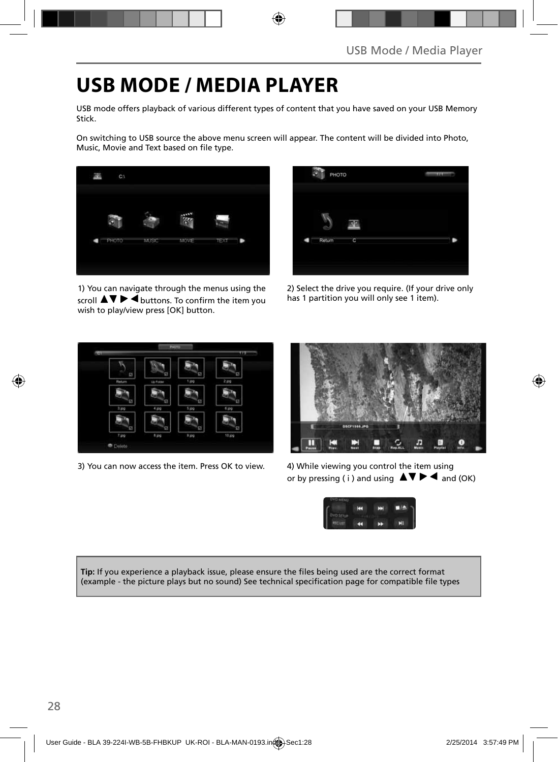## **USB MODE / MEDIA PLAYER**

USB mode offers playback of various different types of content that you have saved on your USB Memory Stick.

On switching to USB source the above menu screen will appear. The content will be divided into Photo, Music, Movie and Text based on file type.



1) You can navigate through the menus using the scroll  $\triangle \triangledown \triangleright \vec{\blacktriangle}$  buttons. To confirm the item you wish to play/view press [OK] button.



2) Select the drive you require. (If your drive only has 1 partition you will only see 1 item).



3) You can now access the item. Press OK to view. 4) While viewing you control the item using



or by pressing (i) and using  $\Delta \nabla \blacktriangleright$   $\blacktriangle$  and (OK)



Tip: If you experience a playback issue, please ensure the files being used are the correct format (example - the picture plays but no sound) See technical specification page for compatible file types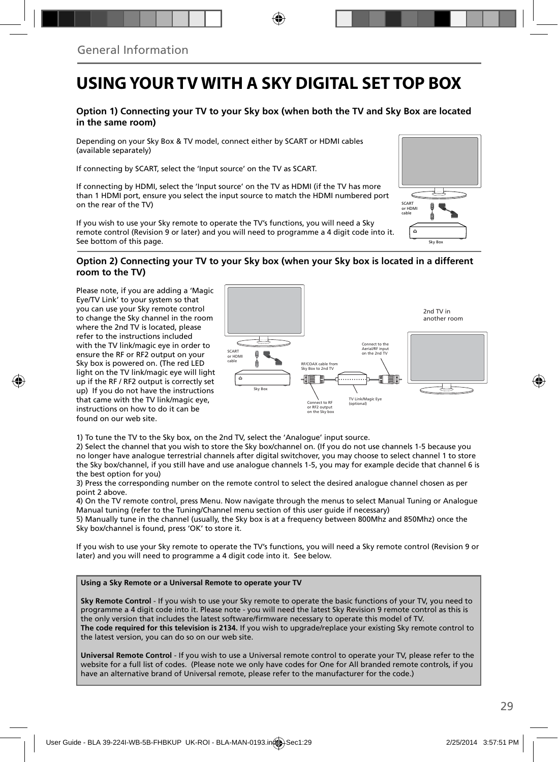### **USING YOUR TV WITH A SKY DIGITAL SET TOP BOX**

#### **Option 1) Connecting your TV to your Sky box (when both the TV and Sky Box are located in the same room)**

Depending on your Sky Box & TV model, connect either by SCART or HDMI cables (available separately)

If connecting by SCART, select the 'Input source' on the TV as SCART.

If connecting by HDMI, select the 'Input source' on the TV as HDMI (if the TV has more than 1 HDMI port, ensure you select the input source to match the HDMI numbered port on the rear of the TV)

If you wish to use your Sky remote to operate the TV's functions, you will need a Sky remote control (Revision 9 or later) and you will need to programme a 4 digit code into it. See bottom of this page.

# Sky Box SCART or HDMI cable

#### **Option 2) Connecting your TV to your Sky box (when your Sky box is located in a different room to the TV)**

Please note, if you are adding a 'Magic Eye/TV Link' to your system so that you can use your Sky remote control to change the Sky channel in the room where the 2nd TV is located, please refer to the instructions included with the TV link/magic eye in order to ensure the RF or RF2 output on your Sky box is powered on. (The red LED light on the TV link/magic eye will light up if the RF / RF2 output is correctly set up) If you do not have the instructions that came with the TV link/magic eye, instructions on how to do it can be found on our web site.



1) To tune the TV to the Sky box, on the 2nd TV, select the 'Analogue' input source.

2) Select the channel that you wish to store the Sky box/channel on. (If you do not use channels 1-5 because you no longer have analogue terrestrial channels after digital switchover, you may choose to select channel 1 to store the Sky box/channel, if you still have and use analogue channels 1-5, you may for example decide that channel 6 is the best option for you)

3) Press the corresponding number on the remote control to select the desired analogue channel chosen as per point 2 above.

4) On the TV remote control, press Menu. Now navigate through the menus to select Manual Tuning or Analogue Manual tuning (refer to the Tuning/Channel menu section of this user guide if necessary)

5) Manually tune in the channel (usually, the Sky box is at a frequency between 800Mhz and 850Mhz) once the Sky box/channel is found, press 'OK' to store it.

If you wish to use your Sky remote to operate the TV's functions, you will need a Sky remote control (Revision 9 or later) and you will need to programme a 4 digit code into it. See below.

#### **Using a Sky Remote or a Universal Remote to operate your TV**

**Sky Remote Control** - If you wish to use your Sky remote to operate the basic functions of your TV, you need to programme a 4 digit code into it. Please note - you will need the latest Sky Revision 9 remote control as this is the only version that includes the latest software/firmware necessary to operate this model of TV. **The code required for this television is 2134.** If you wish to upgrade/replace your existing Sky remote control to the latest version, you can do so on our web site.

**Universal Remote Control** - If you wish to use a Universal remote control to operate your TV, please refer to the website for a full list of codes. (Please note we only have codes for One for All branded remote controls, if you have an alternative brand of Universal remote, please refer to the manufacturer for the code.)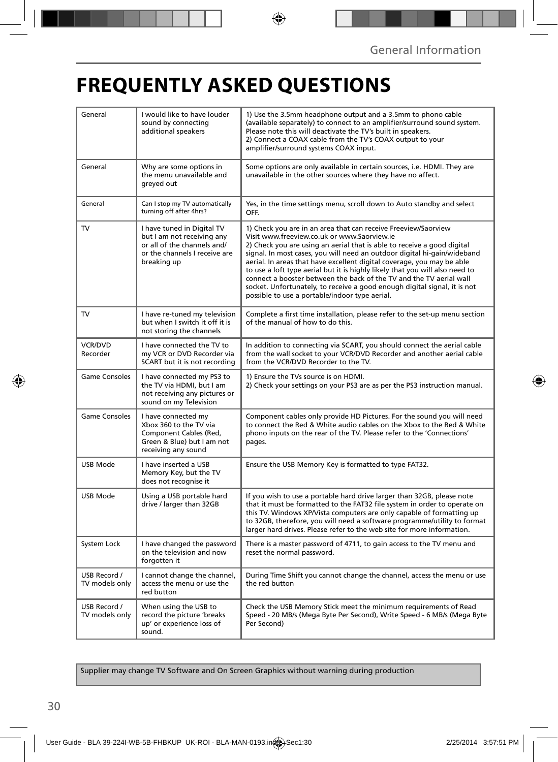# **FREQUENTLY ASKED QUESTIONS**

| General                        | I would like to have louder<br>sound by connecting<br>additional speakers                                                               | 1) Use the 3.5mm headphone output and a 3.5mm to phono cable<br>(available separately) to connect to an amplifier/surround sound system.<br>Please note this will deactivate the TV's built in speakers.<br>2) Connect a COAX cable from the TV's COAX output to your<br>amplifier/surround systems COAX input.                                                                                                                                                                                                                                                                                                                      |
|--------------------------------|-----------------------------------------------------------------------------------------------------------------------------------------|--------------------------------------------------------------------------------------------------------------------------------------------------------------------------------------------------------------------------------------------------------------------------------------------------------------------------------------------------------------------------------------------------------------------------------------------------------------------------------------------------------------------------------------------------------------------------------------------------------------------------------------|
| General                        | Why are some options in<br>the menu unavailable and<br>greyed out                                                                       | Some options are only available in certain sources, i.e. HDMI. They are<br>unavailable in the other sources where they have no affect.                                                                                                                                                                                                                                                                                                                                                                                                                                                                                               |
| General                        | Can I stop my TV automatically<br>turning off after 4hrs?                                                                               | Yes, in the time settings menu, scroll down to Auto standby and select<br>OFF.                                                                                                                                                                                                                                                                                                                                                                                                                                                                                                                                                       |
| TV                             | I have tuned in Digital TV<br>but I am not receiving any<br>or all of the channels and/<br>or the channels I receive are<br>breaking up | 1) Check you are in an area that can receive Freeview/Saorview<br>Visit www.freeview.co.uk or www.Saorview.ie<br>2) Check you are using an aerial that is able to receive a good digital<br>signal. In most cases, you will need an outdoor digital hi-gain/wideband<br>aerial. In areas that have excellent digital coverage, you may be able<br>to use a loft type aerial but it is highly likely that you will also need to<br>connect a booster between the back of the TV and the TV aerial wall<br>socket. Unfortunately, to receive a good enough digital signal, it is not<br>possible to use a portable/indoor type aerial. |
| TV                             | I have re-tuned my television<br>but when I switch it off it is<br>not storing the channels                                             | Complete a first time installation, please refer to the set-up menu section<br>of the manual of how to do this.                                                                                                                                                                                                                                                                                                                                                                                                                                                                                                                      |
| <b>VCR/DVD</b><br>Recorder     | I have connected the TV to<br>my VCR or DVD Recorder via<br>SCART but it is not recording                                               | In addition to connecting via SCART, you should connect the aerial cable<br>from the wall socket to your VCR/DVD Recorder and another aerial cable<br>from the VCR/DVD Recorder to the TV.                                                                                                                                                                                                                                                                                                                                                                                                                                           |
| <b>Game Consoles</b>           | I have connected my PS3 to<br>the TV via HDMI, but I am<br>not receiving any pictures or<br>sound on my Television                      | 1) Ensure the TVs source is on HDMI.<br>2) Check your settings on your PS3 are as per the PS3 instruction manual.                                                                                                                                                                                                                                                                                                                                                                                                                                                                                                                    |
| Game Consoles                  | I have connected my<br>Xbox 360 to the TV via<br>Component Cables (Red,<br>Green & Blue) but I am not<br>receiving any sound            | Component cables only provide HD Pictures. For the sound you will need<br>to connect the Red & White audio cables on the Xbox to the Red & White<br>phono inputs on the rear of the TV. Please refer to the 'Connections'<br>pages.                                                                                                                                                                                                                                                                                                                                                                                                  |
| USB Mode                       | I have inserted a USB<br>Memory Key, but the TV<br>does not recognise it                                                                | Ensure the USB Memory Key is formatted to type FAT32.                                                                                                                                                                                                                                                                                                                                                                                                                                                                                                                                                                                |
| <b>USB Mode</b>                | Using a USB portable hard<br>drive / larger than 32GB                                                                                   | If you wish to use a portable hard drive larger than 32GB, please note<br>that it must be formatted to the FAT32 file system in order to operate on<br>this TV. Windows XP/Vista computers are only capable of formatting up<br>to 32GB, therefore, you will need a software programme/utility to format<br>larger hard drives. Please refer to the web site for more information.                                                                                                                                                                                                                                                   |
| System Lock                    | I have changed the password<br>on the television and now<br>forgotten it                                                                | There is a master password of 4711, to gain access to the TV menu and<br>reset the normal password.                                                                                                                                                                                                                                                                                                                                                                                                                                                                                                                                  |
| USB Record /<br>TV models only | I cannot change the channel,<br>access the menu or use the<br>red button                                                                | During Time Shift you cannot change the channel, access the menu or use<br>the red button                                                                                                                                                                                                                                                                                                                                                                                                                                                                                                                                            |
| USB Record /<br>TV models only | When using the USB to<br>record the picture 'breaks<br>up' or experience loss of<br>sound.                                              | Check the USB Memory Stick meet the minimum requirements of Read<br>Speed - 20 MB/s (Mega Byte Per Second), Write Speed - 6 MB/s (Mega Byte<br>Per Second)                                                                                                                                                                                                                                                                                                                                                                                                                                                                           |

Supplier may change TV Software and On Screen Graphics without warning during production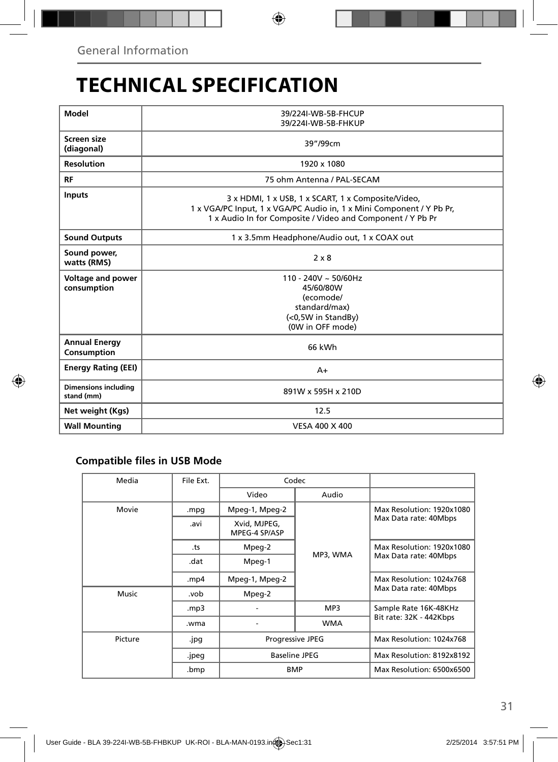### **TECHNICAL SPECIFICATION**

| Model                                     | 39/224I-WB-5B-FHCUP<br>39/224I-WB-5B-FHKUP                                                                                                                                               |  |  |  |
|-------------------------------------------|------------------------------------------------------------------------------------------------------------------------------------------------------------------------------------------|--|--|--|
| Screen size<br>(diagonal)                 | 39"/99cm                                                                                                                                                                                 |  |  |  |
| <b>Resolution</b>                         | 1920 x 1080                                                                                                                                                                              |  |  |  |
| <b>RF</b>                                 | 75 ohm Antenna / PAL-SECAM                                                                                                                                                               |  |  |  |
| <b>Inputs</b>                             | 3 x HDMI, 1 x USB, 1 x SCART, 1 x Composite/Video,<br>1 x VGA/PC Input, 1 x VGA/PC Audio in, 1 x Mini Component / Y Pb Pr,<br>1 x Audio In for Composite / Video and Component / Y Pb Pr |  |  |  |
| <b>Sound Outputs</b>                      | 1 x 3.5mm Headphone/Audio out, 1 x COAX out                                                                                                                                              |  |  |  |
| Sound power,<br>watts (RMS)               | $2 \times 8$                                                                                                                                                                             |  |  |  |
| <b>Voltage and power</b><br>consumption   | $110 - 240V \sim 50/60$ Hz<br>45/60/80W<br>(ecomode/<br>standard/max)<br>(<0,5W in StandBy)<br>(0W in OFF mode)                                                                          |  |  |  |
| <b>Annual Energy</b><br>Consumption       | 66 kWh                                                                                                                                                                                   |  |  |  |
| <b>Energy Rating (EEI)</b>                | $A+$                                                                                                                                                                                     |  |  |  |
| <b>Dimensions including</b><br>stand (mm) | 891W x 595H x 210D                                                                                                                                                                       |  |  |  |
| Net weight (Kgs)                          | 12.5                                                                                                                                                                                     |  |  |  |
| <b>Wall Mounting</b>                      | VESA 400 X 400                                                                                                                                                                           |  |  |  |

### **Compatible files in USB Mode**

| Media   | File Ext. | Codec                         |            |                           |  |  |
|---------|-----------|-------------------------------|------------|---------------------------|--|--|
|         |           | Video                         | Audio      |                           |  |  |
| Movie   | .mpg      | Mpeg-1, Mpeg-2                |            | Max Resolution: 1920x1080 |  |  |
|         | .avi      | Xvid, MJPEG,<br>MPEG-4 SP/ASP |            | Max Data rate: 40Mbps     |  |  |
|         | .ts       | Mpeg-2                        |            | Max Resolution: 1920x1080 |  |  |
|         | .dat      | Mpeg-1                        | MP3, WMA   | Max Data rate: 40Mbps     |  |  |
|         | .mp4      | Mpeg-1, Mpeg-2                |            | Max Resolution: 1024x768  |  |  |
| Music   | .vob      | Mpeg-2                        | MP3        | Max Data rate: 40Mbps     |  |  |
|         | mp3.      |                               |            | Sample Rate 16K-48KHz     |  |  |
|         | .wma      |                               | <b>WMA</b> | Bit rate: 32K - 442Kbps   |  |  |
| Picture | .jpg      | <b>Progressive JPEG</b>       |            | Max Resolution: 1024x768  |  |  |
|         | .jpeg     | <b>Baseline JPEG</b>          |            | Max Resolution: 8192x8192 |  |  |
|         | .bmp      | <b>BMP</b>                    |            | Max Resolution: 6500x6500 |  |  |
|         |           |                               |            |                           |  |  |